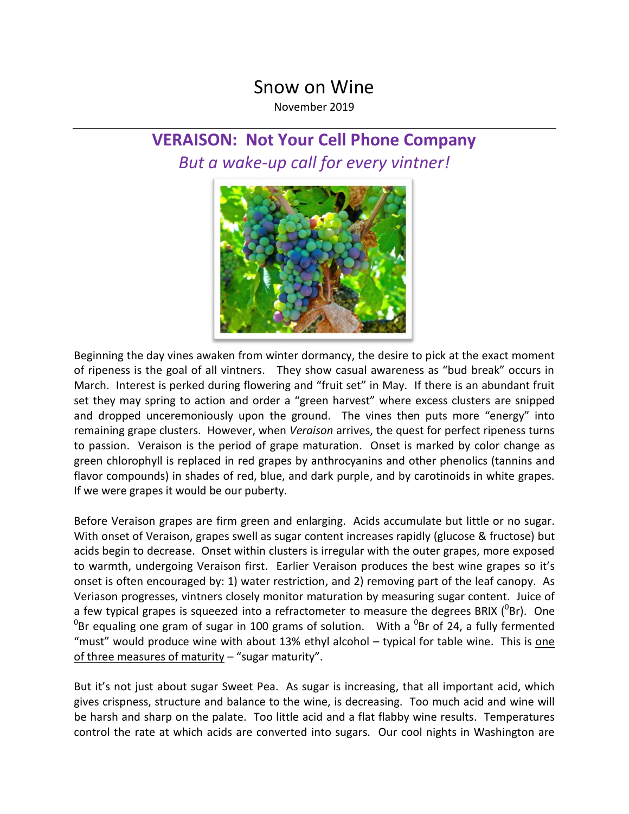## Snow on Wine

November 2019

## **VERAISON: Not Your Cell Phone Company** *But a wake-up call for every vintner!*



Beginning the day vines awaken from winter dormancy, the desire to pick at the exact moment of ripeness is the goal of all vintners. They show casual awareness as "bud break" occurs in March. Interest is perked during flowering and "fruit set" in May. If there is an abundant fruit set they may spring to action and order a "green harvest" where excess clusters are snipped and dropped unceremoniously upon the ground. The vines then puts more "energy" into remaining grape clusters. However, when *Veraison* arrives, the quest for perfect ripeness turns to passion. Veraison is the period of grape maturation. Onset is marked by color change as green chlorophyll is replaced in red grapes by anthrocyanins and other phenolics (tannins and flavor compounds) in shades of red, blue, and dark purple, and by carotinoids in white grapes. If we were grapes it would be our puberty.

Before Veraison grapes are firm green and enlarging. Acids accumulate but little or no sugar. With onset of Veraison, grapes swell as sugar content increases rapidly (glucose & fructose) but acids begin to decrease. Onset within clusters is irregular with the outer grapes, more exposed to warmth, undergoing Veraison first. Earlier Veraison produces the best wine grapes so it's onset is often encouraged by: 1) water restriction, and 2) removing part of the leaf canopy. As Veriason progresses, vintners closely monitor maturation by measuring sugar content. Juice of a few typical grapes is squeezed into a refractometer to measure the degrees BRIX ( $^{0}$ Br). One  ${}^{0}$ Br equaling one gram of sugar in 100 grams of solution. With a  ${}^{0}$ Br of 24, a fully fermented "must" would produce wine with about 13% ethyl alcohol – typical for table wine. This is one of three measures of maturity – "sugar maturity".

But it's not just about sugar Sweet Pea. As sugar is increasing, that all important acid, which gives crispness, structure and balance to the wine, is decreasing. Too much acid and wine will be harsh and sharp on the palate. Too little acid and a flat flabby wine results. Temperatures control the rate at which acids are converted into sugars. Our cool nights in Washington are